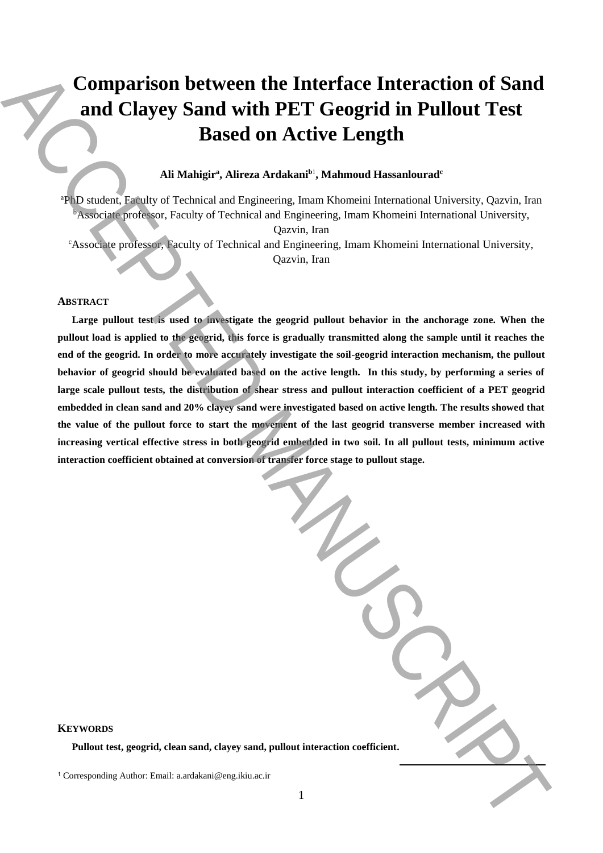# **Comparison between the Interface Interaction of Sand and Clayey Sand with PET Geogrid in Pullout Test Based on Active Length**

# **Ali Mahigir<sup>a</sup> , Alireza Ardakani<sup>b</sup>**<sup>1</sup> **, Mahmoud Hassanlourad<sup>c</sup>**

<sup>a</sup>PhD student, Faculty of Technical and Engineering, Imam Khomeini International University, Qazvin, Iran <sup>b</sup>Associate professor, Faculty of Technical and Engineering, Imam Khomeini International University, Qazvin, Iran

<sup>c</sup>Associate professor, Faculty of Technical and Engineering, Imam Khomeini International University, Qazvin, Iran

#### **ABSTRACT**

Large pullout test is used to investigate the geogrid pullout behavior in the anchorage zone. When the **pullout load is applied to the geogrid, this force is gradually transmitted along the sample until it reaches the end of the geogrid. In order to more accurately investigate the soil-geogrid interaction mechanism, the pullout behavior of geogrid should be evaluated based on the active length. In this study, by performing a series of large scale pullout tests, the distribution of shear stress and pullout interaction coefficient of a PET geogrid embedded in clean sand and 20% clayey sand were investigated based on active length. The results showed that the value of the pullout force to start the movement of the last geogrid transverse member increased with increasing vertical effective stress in both geogrid embedded in two soil. In all pullout tests, minimum active interaction coefficient obtained at conversion of transfer force stage to pullout stage.** 1 Comparison between the Interface Interaction of Sand<br>
and Clayey Sand with PET Geogrid in Pullout Test<br>
Based on Active Length<br>
Authority area and<br>advantage alternation in the maintain and the second interaction interact

## **KEYWORDS**

**Pullout test, geogrid, clean sand, clayey sand, pullout interaction coefficient.** 

**.**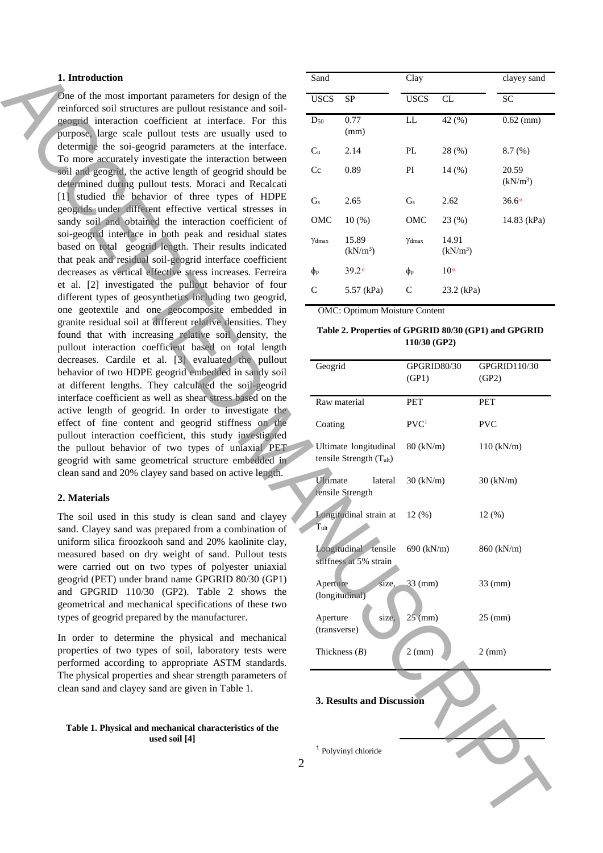# **1. Introduction**

#### **2. Materials**

# **Table 1. Physical and mechanical characteristics of the used soil [4]**

| Sand           |                     | Clay           |                               | clayey sand                   |  |
|----------------|---------------------|----------------|-------------------------------|-------------------------------|--|
| <b>USCS</b>    | <b>SP</b>           | <b>USCS</b>    | CL                            | SC                            |  |
| $D_{50}$       | 0.77<br>(mm)        | LL             | 42 (%)                        | $0.62$ (mm)                   |  |
| C <sub>u</sub> | 2.14                | PL             | 28 (%)                        | 8.7(%)                        |  |
| Cc             | 0.89                | PI             | 14(%)                         | 20.59<br>(kN/m <sup>3</sup> ) |  |
| $G_s$          | 2.65                | Gs             | 2.62                          | 36.6 <sup>o</sup>             |  |
| OMC            | 10(%)               | OMC            | 23(%)                         | 14.83 (kPa)                   |  |
| $\gamma$ dmax  | 15.89<br>$(kN/m^3)$ | $\gamma$ dmax  | 14.91<br>(kN/m <sup>3</sup> ) |                               |  |
| $\phi_{\rm p}$ | 39.2°               | $\phi_{\rm p}$ | 10 <sup>o</sup>               |                               |  |
| C              | 5.57 (kPa)          | C              | 23.2 (kPa)                    |                               |  |

**Table 2. Properties of GPGRID 80/30 (GP1) and GPGRID 110/30 (GP2)**

| 1. Introduction                                                                                                                                                                 | Sand                                                                 |                                 | Clay                      |                                   | clayey sand                   |
|---------------------------------------------------------------------------------------------------------------------------------------------------------------------------------|----------------------------------------------------------------------|---------------------------------|---------------------------|-----------------------------------|-------------------------------|
| One of the most important parameters for design of the                                                                                                                          | <b>USCS</b>                                                          | ${\rm SP}$                      | <b>USCS</b>               | $\ensuremath{\textup{CL}}\xspace$ | ${\rm SC}$                    |
| reinforced soil structures are pullout resistance and soil-<br>geogrid interaction coefficient at interface. For this<br>purpose, large scale pullout tests are usually used to | $D_{50}$                                                             | 0.77<br>(mm)                    | ${\rm LL}$                | 42 (%)                            | $0.62$ (mm)                   |
| determine the soi-geogrid parameters at the interface.<br>To more accurately investigate the interaction between                                                                | C <sub>u</sub>                                                       | 2.14                            | $\mathbf{P}\mathbf{L}$    | 28 (%)                            | 8.7(%)                        |
| soil and geogrid, the active length of geogrid should be<br>determined during pullout tests. Moraci and Recalcati                                                               | Cc                                                                   | 0.89                            | PI                        | 14(%)                             | 20.59<br>(kN/m <sup>3</sup> ) |
| [1] studied the behavior of three types of HDPE<br>geogrids under different effective vertical stresses in                                                                      | $\mathbf{G}_{\text{s}}$                                              | 2.65                            | $\mathbf{G}_{\mathrm{s}}$ | 2.62                              | $36.6^\circ$                  |
| sandy soil and obtained the interaction coefficient of                                                                                                                          | OMC                                                                  | 10(%)                           | OMC                       | 23 (%)                            | 14.83 (kPa)                   |
| soi-geogrid interface in both peak and residual states<br>based on total geogrid length. Their results indicated<br>that peak and residual soil-geogrid interface coefficient   | $\gamma$ dmax                                                        | 15.89<br>(kN/m <sup>3</sup> )   | $\gamma$ dmax             | 14.91<br>(kN/m <sup>3</sup> )     |                               |
| decreases as vertical effective stress increases. Ferreira                                                                                                                      | $\phi_{\rm p}$                                                       | 39.2°                           | $\phi_{\rm p}$            | 10 <sup>o</sup>                   |                               |
| et al. [2] investigated the pullout behavior of four<br>different types of geosynthetics including two geogrid,                                                                 | $\mathsf C$                                                          | 5.57 (kPa)                      | ${\bf C}$                 | 23.2 (kPa)                        |                               |
| one geotextile and one geocomposite embedded in                                                                                                                                 | <b>OMC: Optimum Moisture Content</b>                                 |                                 |                           |                                   |                               |
| granite residual soil at different relative densities. They<br>found that with increasing relative soil density, the<br>pullout interaction coefficient based on total length   | Table 2. Properties of GPGRID 80/30 (GP1) and GPGRID<br>110/30 (GP2) |                                 |                           |                                   |                               |
| decreases. Cardile et al. [3] evaluated the pullout<br>behavior of two HDPE geogrid embedded in sandy soil<br>at different lengths. They calculated the soil-geogrid            | Geogrid                                                              |                                 | GPGRID80/30<br>(GP1)      |                                   | GPGRID110/30<br>(GP2)         |
| interface coefficient as well as shear stress based on the                                                                                                                      | Raw material                                                         |                                 | PET<br>PET                |                                   |                               |
| active length of geogrid. In order to investigate the<br>effect of fine content and geogrid stiffness on the<br>pullout interaction coefficient, this study investigated        | Coating                                                              |                                 | PVC <sup>1</sup>          |                                   | <b>PVC</b>                    |
| the pullout behavior of two types of uniaxial PET<br>geogrid with same geometrical structure embedded in                                                                        | Ultimate longitudinal<br>tensile Strength (Tult)                     |                                 | 80 (kN/m)                 |                                   | 110 (kN/m)                    |
| clean sand and 20% clayey sand based on active length.<br>2. Materials                                                                                                          | Ultimate                                                             | lateral<br>tensile Strength     | $30$ (kN/m)               |                                   | $30$ (kN/m)                   |
| The soil used in this study is clean sand and clayey<br>sand. Clayey sand was prepared from a combination of                                                                    | $T_{ult}$                                                            | Longitudinal strain at 12 (%)   |                           |                                   | 12(%)                         |
| uniform silica firoozkooh sand and 20% kaolinite clay,<br>measured based on dry weight of sand. Pullout tests<br>were carried out on two types of polyester uniaxial            | Longitudinal tensile<br>stiffness at 5% strain                       |                                 | $690$ (kN/m)              |                                   | 860 (kN/m)                    |
| geogrid (PET) under brand name GPGRID 80/30 (GP1)<br>and GPGRID 110/30 (GP2). Table 2 shows the<br>geometrical and mechanical specifications of these two                       | Aperture                                                             | (longitudinal)                  | $size, -33$ (mm)          |                                   | $33$ (mm)                     |
| types of geogrid prepared by the manufacturer.                                                                                                                                  | Aperture<br>(transverse)                                             | size,                           | $25 \text{ (mm)}$         |                                   | $25 \text{ (mm)}$             |
| In order to determine the physical and mechanical<br>properties of two types of soil, laboratory tests were<br>performed according to appropriate ASTM standards.               |                                                                      | Thickness $(B)$                 | $2$ (mm)                  |                                   | $2$ (mm)                      |
| The physical properties and shear strength parameters of<br>clean sand and clayey sand are given in Table 1.                                                                    | 3. Results and Discussion                                            |                                 |                           |                                   |                               |
| Table 1. Physical and mechanical characteristics of the<br>used soil [4]<br>2                                                                                                   |                                                                      | <sup>1</sup> Polyvinyl chloride |                           |                                   |                               |
|                                                                                                                                                                                 |                                                                      |                                 |                           |                                   |                               |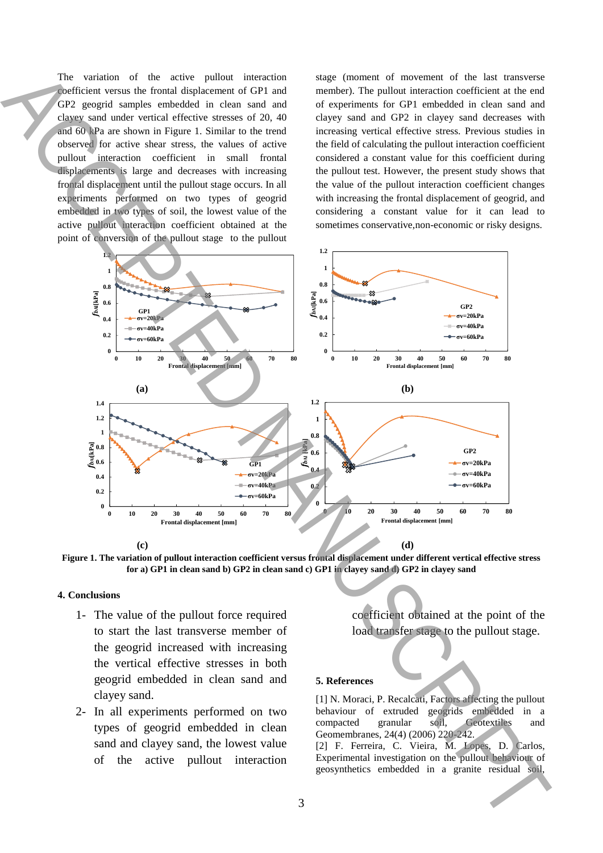The variation of the active pullout interaction coefficient versus the frontal displacement of GP1 and GP2 geogrid samples embedded in clean sand and clayey sand under vertical effective stresses of 20, 40 and 60 kPa are shown in Figure 1. Similar to the trend observed for active shear stress, the values of active pullout interaction coefficient in small frontal displacements is large and decreases with increasing frontal displacement until the pullout stage occurs. In all experiments performed on two types of geogrid embedded in two types of soil, the lowest value of the active pullout interaction coefficient obtained at the point of conversion of the pullout stage to the pullout stage (moment of movement of the last transverse member). The pullout interaction coefficient at the end of experiments for GP1 embedded in clean sand and clayey sand and GP2 in clayey sand decreases with increasing vertical effective stress. Previous studies in the field of calculating the pullout interaction coefficient considered a constant value for this coefficient during the pullout test. However, the present study shows that the value of the pullout interaction coefficient changes with increasing the frontal displacement of geogrid, and considering a constant value for it can lead to sometimes conservative,non-economic or risky designs.



**Figure 1. The variation of pullout interaction coefficient versus frontal displacement under different vertical effective stress for a) GP1 in clean sand b) GP2 in clean sand c) GP1 in clayey sand d) GP2 in clayey sand**

## **4. Conclusions**

- 1- The value of the pullout force required to start the last transverse member of the geogrid increased with increasing the vertical effective stresses in both geogrid embedded in clean sand and clayey sand.
- 2- In all experiments performed on two types of geogrid embedded in clean sand and clayey sand, the lowest value of the active pullout interaction

coefficient obtained at the point of the load transfer stage to the pullout stage.

# **5. References**

[1] N. Moraci, P. Recalcati, Factors affecting the pullout behaviour of extruded geogrids embedded in a compacted granular soil, Geotextiles and compacted granular soil, Geotextiles and Geomembranes, 24(4) (2006) 220-242.

[2] F. Ferreira, C. Vieira, M. Lopes, D. Carlos, Experimental investigation on the pullout behaviour of